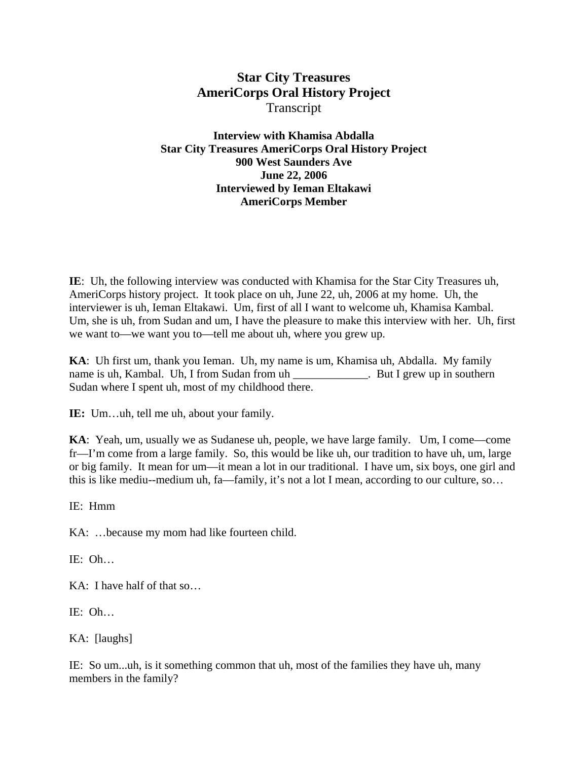## **Star City Treasures AmeriCorps Oral History Project**  Transcript

**Interview with Khamisa Abdalla Star City Treasures AmeriCorps Oral History Project 900 West Saunders Ave June 22, 2006 Interviewed by Ieman Eltakawi AmeriCorps Member** 

**IE**: Uh, the following interview was conducted with Khamisa for the Star City Treasures uh, AmeriCorps history project. It took place on uh, June 22, uh, 2006 at my home. Uh, the interviewer is uh, Ieman Eltakawi. Um, first of all I want to welcome uh, Khamisa Kambal. Um, she is uh, from Sudan and um, I have the pleasure to make this interview with her. Uh, first we want to—we want you to—tell me about uh, where you grew up.

**KA**: Uh first um, thank you Ieman. Uh, my name is um, Khamisa uh, Abdalla. My family name is uh, Kambal. Uh, I from Sudan from uh \_\_\_\_\_\_\_\_\_\_\_\_. But I grew up in southern Sudan where I spent uh, most of my childhood there.

**IE:** Um…uh, tell me uh, about your family.

**KA**: Yeah, um, usually we as Sudanese uh, people, we have large family. Um, I come—come fr—I'm come from a large family. So, this would be like uh, our tradition to have uh, um, large or big family. It mean for um—it mean a lot in our traditional. I have um, six boys, one girl and this is like mediu--medium uh, fa—family, it's not a lot I mean, according to our culture, so…

IE: Hmm

KA: …because my mom had like fourteen child.

IE: Oh…

KA: I have half of that so…

IE: Oh…

KA: [laughs]

IE: So um...uh, is it something common that uh, most of the families they have uh, many members in the family?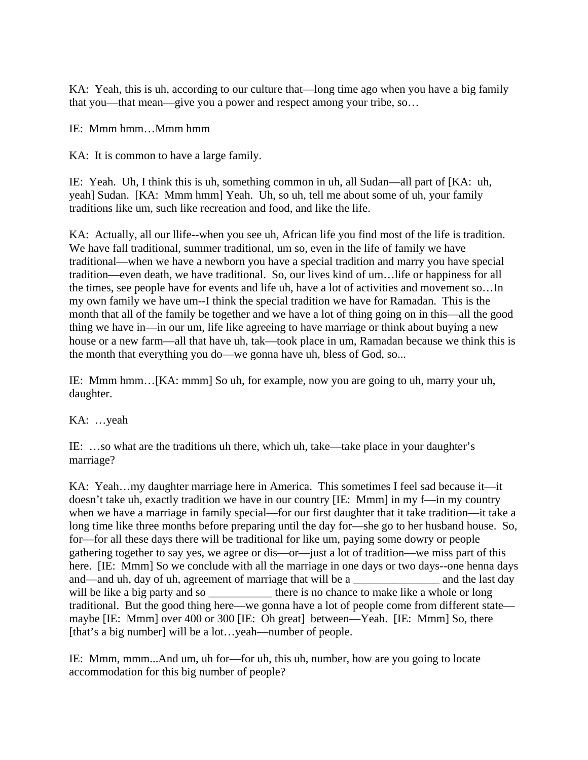KA: Yeah, this is uh, according to our culture that—long time ago when you have a big family that you—that mean—give you a power and respect among your tribe, so…

IE: Mmm hmm…Mmm hmm

KA: It is common to have a large family.

IE: Yeah. Uh, I think this is uh, something common in uh, all Sudan—all part of [KA: uh, yeah] Sudan. [KA: Mmm hmm] Yeah. Uh, so uh, tell me about some of uh, your family traditions like um, such like recreation and food, and like the life.

KA: Actually, all our llife--when you see uh, African life you find most of the life is tradition. We have fall traditional, summer traditional, um so, even in the life of family we have traditional—when we have a newborn you have a special tradition and marry you have special tradition—even death, we have traditional. So, our lives kind of um…life or happiness for all the times, see people have for events and life uh, have a lot of activities and movement so…In my own family we have um--I think the special tradition we have for Ramadan. This is the month that all of the family be together and we have a lot of thing going on in this—all the good thing we have in—in our um, life like agreeing to have marriage or think about buying a new house or a new farm—all that have uh, tak—took place in um, Ramadan because we think this is the month that everything you do—we gonna have uh, bless of God, so...

IE: Mmm hmm…[KA: mmm] So uh, for example, now you are going to uh, marry your uh, daughter.

KA: …yeah

IE: …so what are the traditions uh there, which uh, take—take place in your daughter's marriage?

KA: Yeah…my daughter marriage here in America. This sometimes I feel sad because it—it doesn't take uh, exactly tradition we have in our country [IE: Mmm] in my f—in my country when we have a marriage in family special—for our first daughter that it take tradition—it take a long time like three months before preparing until the day for—she go to her husband house. So, for—for all these days there will be traditional for like um, paying some dowry or people gathering together to say yes, we agree or dis—or—just a lot of tradition—we miss part of this here. [IE: Mmm] So we conclude with all the marriage in one days or two days--one henna days and—and uh, day of uh, agreement of marriage that will be a \_\_\_\_\_\_\_\_\_\_\_\_\_\_ and the last day will be like a big party and so \_\_\_\_\_\_\_\_\_\_\_\_ there is no chance to make like a whole or long traditional. But the good thing here—we gonna have a lot of people come from different state maybe [IE: Mmm] over 400 or 300 [IE: Oh great] between—Yeah. [IE: Mmm] So, there [that's a big number] will be a lot...yeah—number of people.

IE: Mmm, mmm...And um, uh for—for uh, this uh, number, how are you going to locate accommodation for this big number of people?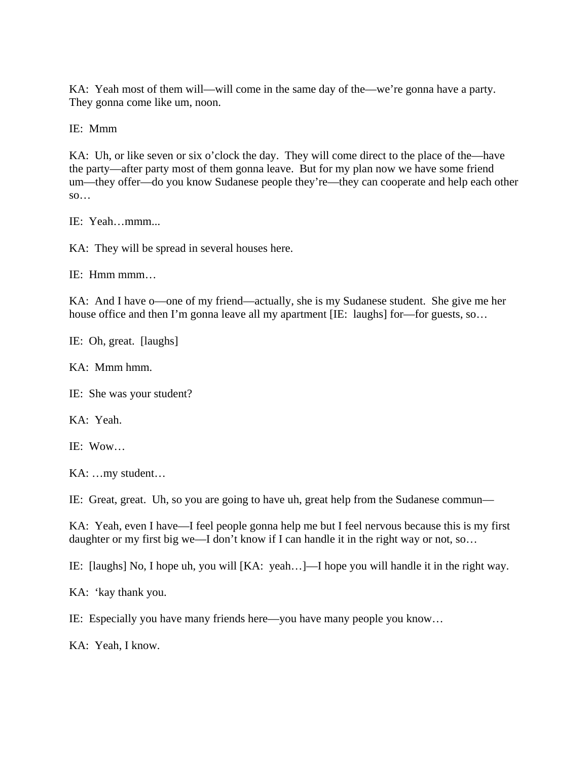KA: Yeah most of them will—will come in the same day of the—we're gonna have a party. They gonna come like um, noon.

IE: Mmm

KA: Uh, or like seven or six o'clock the day. They will come direct to the place of the—have the party—after party most of them gonna leave. But for my plan now we have some friend um—they offer—do you know Sudanese people they're—they can cooperate and help each other  $\mathbf{so} \dots$ 

IE: Yeah…mmm...

KA: They will be spread in several houses here.

IE: Hmm mmm…

KA: And I have o—one of my friend—actually, she is my Sudanese student. She give me her house office and then I'm gonna leave all my apartment [IE: laughs] for—for guests, so...

IE: Oh, great. [laughs]

KA: Mmm hmm.

IE: She was your student?

KA: Yeah.

IE: Wow…

KA: …my student…

IE: Great, great. Uh, so you are going to have uh, great help from the Sudanese commun—

KA: Yeah, even I have—I feel people gonna help me but I feel nervous because this is my first daughter or my first big we—I don't know if I can handle it in the right way or not, so…

IE: [laughs] No, I hope uh, you will [KA: yeah…]—I hope you will handle it in the right way.

KA: 'kay thank you.

IE: Especially you have many friends here—you have many people you know…

KA: Yeah, I know.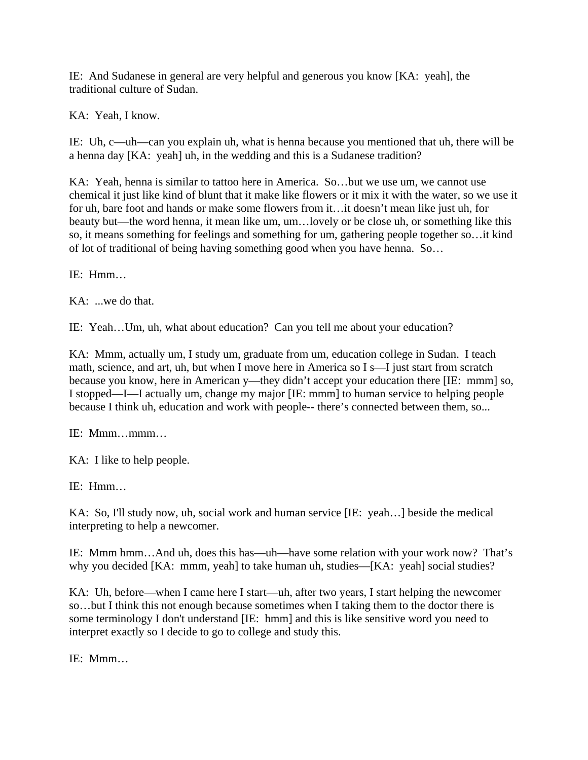IE: And Sudanese in general are very helpful and generous you know [KA: yeah], the traditional culture of Sudan.

KA: Yeah, I know.

IE: Uh, c—uh—can you explain uh, what is henna because you mentioned that uh, there will be a henna day [KA: yeah] uh, in the wedding and this is a Sudanese tradition?

KA: Yeah, henna is similar to tattoo here in America. So…but we use um, we cannot use chemical it just like kind of blunt that it make like flowers or it mix it with the water, so we use it for uh, bare foot and hands or make some flowers from it…it doesn't mean like just uh, for beauty but—the word henna, it mean like um, um…lovely or be close uh, or something like this so, it means something for feelings and something for um, gathering people together so…it kind of lot of traditional of being having something good when you have henna. So…

IE: Hmm…

KA: ...we do that.

IE: Yeah…Um, uh, what about education? Can you tell me about your education?

KA: Mmm, actually um, I study um, graduate from um, education college in Sudan. I teach math, science, and art, uh, but when I move here in America so I s—I just start from scratch because you know, here in American y—they didn't accept your education there [IE: mmm] so, I stopped—I—I actually um, change my major [IE: mmm] to human service to helping people because I think uh, education and work with people-- there's connected between them, so...

IE: Mmm…mmm…

KA: I like to help people.

IE: Hmm…

KA: So, I'll study now, uh, social work and human service [IE: yeah…] beside the medical interpreting to help a newcomer.

IE: Mmm hmm…And uh, does this has—uh—have some relation with your work now? That's why you decided [KA: mmm, yeah] to take human uh, studies—[KA: yeah] social studies?

KA: Uh, before—when I came here I start—uh, after two years, I start helping the newcomer so…but I think this not enough because sometimes when I taking them to the doctor there is some terminology I don't understand [IE: hmm] and this is like sensitive word you need to interpret exactly so I decide to go to college and study this.

IE: Mmm…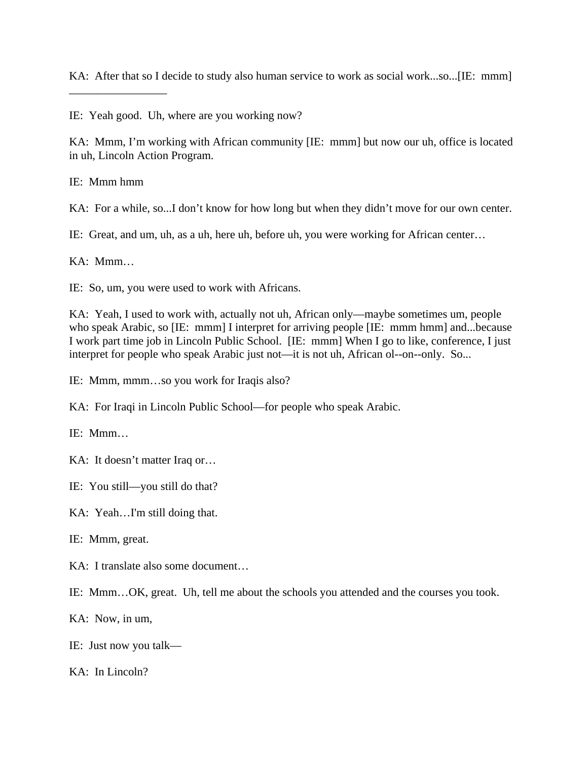KA: After that so I decide to study also human service to work as social work...so...[IE: mmm]

IE: Yeah good. Uh, where are you working now?

KA: Mmm, I'm working with African community [IE: mmm] but now our uh, office is located in uh, Lincoln Action Program.

IE: Mmm hmm

\_\_\_\_\_\_\_\_\_\_\_\_\_\_\_\_\_

KA: For a while, so...I don't know for how long but when they didn't move for our own center.

IE: Great, and um, uh, as a uh, here uh, before uh, you were working for African center…

 $KA: Mmm...$ 

IE: So, um, you were used to work with Africans.

KA: Yeah, I used to work with, actually not uh, African only—maybe sometimes um, people who speak Arabic, so [IE: mmm] I interpret for arriving people [IE: mmm hmm] and...because I work part time job in Lincoln Public School. [IE: mmm] When I go to like, conference, I just interpret for people who speak Arabic just not—it is not uh, African ol--on--only. So...

IE: Mmm, mmm…so you work for Iraqis also?

KA: For Iraqi in Lincoln Public School—for people who speak Arabic.

IE: Mmm…

KA: It doesn't matter Iraq or…

IE: You still—you still do that?

KA: Yeah…I'm still doing that.

IE: Mmm, great.

KA: I translate also some document…

IE: Mmm…OK, great. Uh, tell me about the schools you attended and the courses you took.

KA: Now, in um,

IE: Just now you talk—

KA: In Lincoln?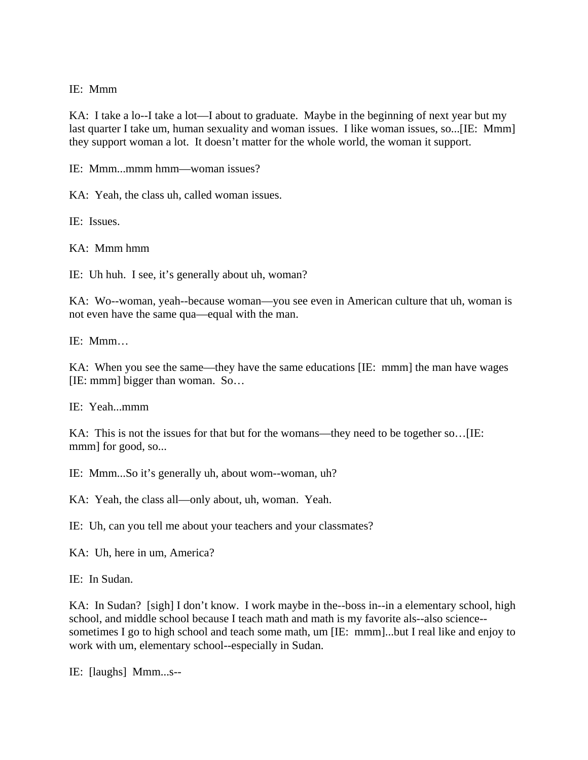## IE: Mmm

KA: I take a lo--I take a lot—I about to graduate. Maybe in the beginning of next year but my last quarter I take um, human sexuality and woman issues. I like woman issues, so...[IE: Mmm] they support woman a lot. It doesn't matter for the whole world, the woman it support.

IE: Mmm...mmm hmm—woman issues?

KA: Yeah, the class uh, called woman issues.

IE: Issues.

KA: Mmm hmm

IE: Uh huh. I see, it's generally about uh, woman?

KA: Wo--woman, yeah--because woman—you see even in American culture that uh, woman is not even have the same qua—equal with the man.

IE: Mmm…

KA: When you see the same—they have the same educations [IE: mmm] the man have wages [IE: mmm] bigger than woman. So…

IE: Yeah...mmm

KA: This is not the issues for that but for the womans—they need to be together so... [IE: mmm] for good, so...

IE: Mmm...So it's generally uh, about wom--woman, uh?

KA: Yeah, the class all—only about, uh, woman. Yeah.

IE: Uh, can you tell me about your teachers and your classmates?

KA: Uh, here in um, America?

IE: In Sudan.

KA: In Sudan? [sigh] I don't know. I work maybe in the--boss in--in a elementary school, high school, and middle school because I teach math and math is my favorite als--also science- sometimes I go to high school and teach some math, um [IE: mmm]...but I real like and enjoy to work with um, elementary school--especially in Sudan.

IE: [laughs] Mmm...s--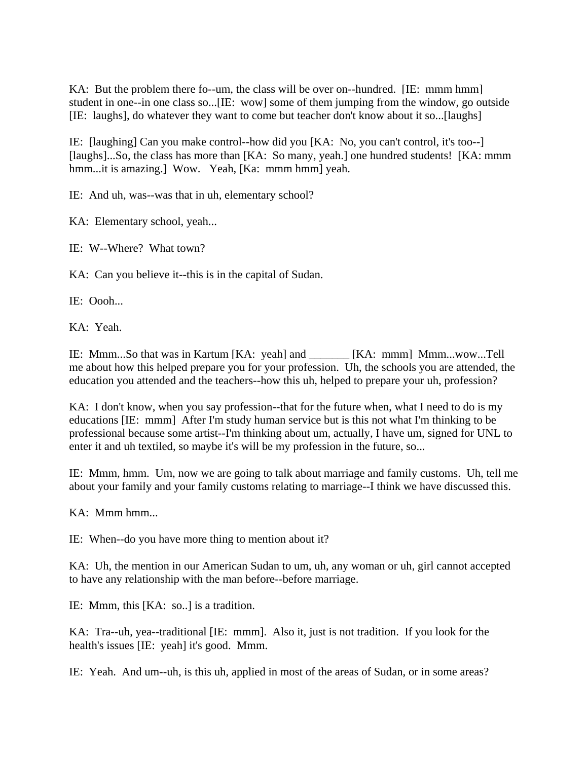KA: But the problem there fo--um, the class will be over on--hundred. [IE: mmm hmm] student in one--in one class so...[IE: wow] some of them jumping from the window, go outside [IE: laughs], do whatever they want to come but teacher don't know about it so...[laughs]

IE: [laughing] Can you make control--how did you [KA: No, you can't control, it's too--] [laughs]...So, the class has more than [KA: So many, yeah.] one hundred students! [KA: mmm hmm...it is amazing.] Wow. Yeah, [Ka: mmm hmm] yeah.

IE: And uh, was--was that in uh, elementary school?

KA: Elementary school, yeah...

IE: W--Where? What town?

KA: Can you believe it--this is in the capital of Sudan.

IE: Oooh...

KA: Yeah.

IE: Mmm...So that was in Kartum [KA: yeah] and \_\_\_\_\_\_\_ [KA: mmm] Mmm...wow...Tell me about how this helped prepare you for your profession. Uh, the schools you are attended, the education you attended and the teachers--how this uh, helped to prepare your uh, profession?

KA: I don't know, when you say profession--that for the future when, what I need to do is my educations [IE: mmm] After I'm study human service but is this not what I'm thinking to be professional because some artist--I'm thinking about um, actually, I have um, signed for UNL to enter it and uh textiled, so maybe it's will be my profession in the future, so...

IE: Mmm, hmm. Um, now we are going to talk about marriage and family customs. Uh, tell me about your family and your family customs relating to marriage--I think we have discussed this.

KA: Mmm hmm...

IE: When--do you have more thing to mention about it?

KA: Uh, the mention in our American Sudan to um, uh, any woman or uh, girl cannot accepted to have any relationship with the man before--before marriage.

IE: Mmm, this [KA: so..] is a tradition.

KA: Tra--uh, yea--traditional [IE: mmm]. Also it, just is not tradition. If you look for the health's issues [IE: yeah] it's good. Mmm.

IE: Yeah. And um--uh, is this uh, applied in most of the areas of Sudan, or in some areas?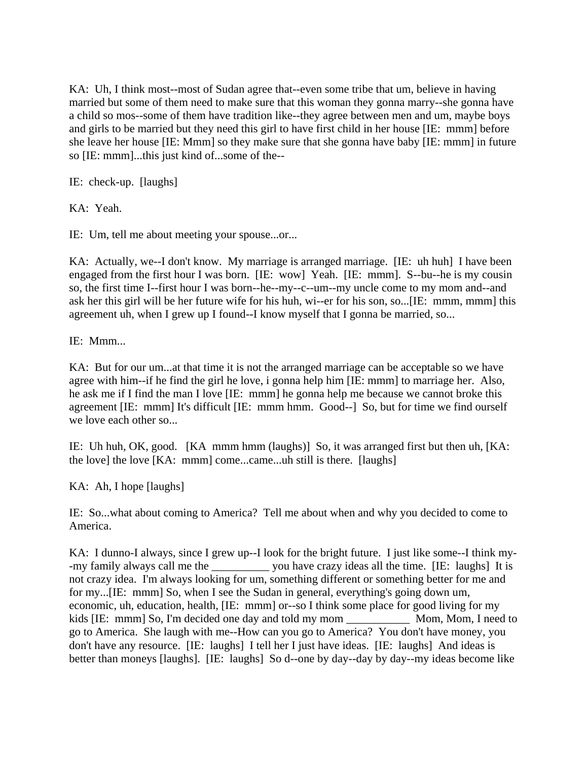KA: Uh, I think most--most of Sudan agree that--even some tribe that um, believe in having married but some of them need to make sure that this woman they gonna marry--she gonna have a child so mos--some of them have tradition like--they agree between men and um, maybe boys and girls to be married but they need this girl to have first child in her house [IE: mmm] before she leave her house [IE: Mmm] so they make sure that she gonna have baby [IE: mmm] in future so [IE: mmm]...this just kind of...some of the--

IE: check-up. [laughs]

KA: Yeah.

IE: Um, tell me about meeting your spouse...or...

KA: Actually, we--I don't know. My marriage is arranged marriage. [IE: uh huh] I have been engaged from the first hour I was born. [IE: wow] Yeah. [IE: mmm]. S--bu--he is my cousin so, the first time I--first hour I was born--he--my--c--um--my uncle come to my mom and--and ask her this girl will be her future wife for his huh, wi--er for his son, so...[IE: mmm, mmm] this agreement uh, when I grew up I found--I know myself that I gonna be married, so...

IE: Mmm...

KA: But for our um...at that time it is not the arranged marriage can be acceptable so we have agree with him--if he find the girl he love, i gonna help him [IE: mmm] to marriage her. Also, he ask me if I find the man I love [IE: mmm] he gonna help me because we cannot broke this agreement [IE: mmm] It's difficult [IE: mmm hmm. Good--] So, but for time we find ourself we love each other so...

IE: Uh huh, OK, good. [KA mmm hmm (laughs)] So, it was arranged first but then uh, [KA: the love] the love [KA: mmm] come...came...uh still is there. [laughs]

KA: Ah, I hope [laughs]

IE: So...what about coming to America? Tell me about when and why you decided to come to America.

KA: I dunno-I always, since I grew up--I look for the bright future. I just like some--I think my- -my family always call me the \_\_\_\_\_\_\_\_\_\_ you have crazy ideas all the time. [IE: laughs] It is not crazy idea. I'm always looking for um, something different or something better for me and for my...[IE: mmm] So, when I see the Sudan in general, everything's going down um, economic, uh, education, health, [IE: mmm] or--so I think some place for good living for my kids [IE: mmm] So, I'm decided one day and told my mom Mom, Mom, I need to go to America. She laugh with me--How can you go to America? You don't have money, you don't have any resource. [IE: laughs] I tell her I just have ideas. [IE: laughs] And ideas is better than moneys [laughs]. [IE: laughs] So d--one by day--day by day--my ideas become like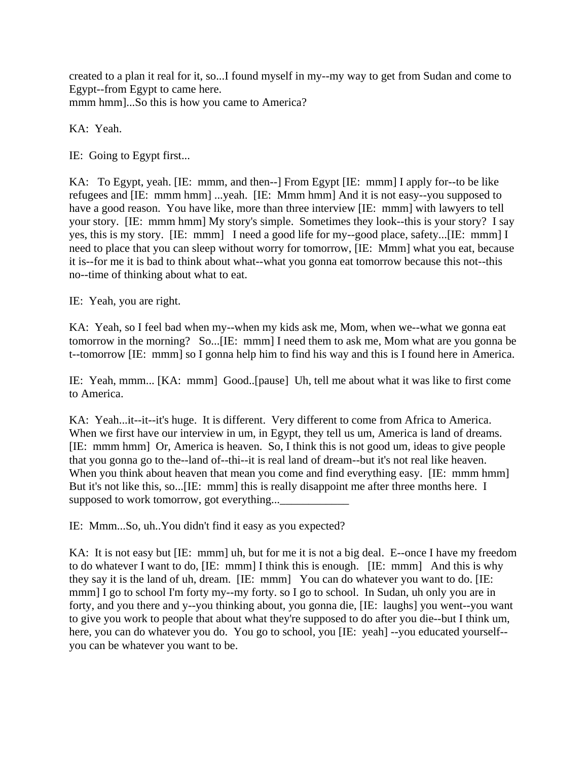created to a plan it real for it, so...I found myself in my--my way to get from Sudan and come to Egypt--from Egypt to came here. mmm hmm]...So this is how you came to America?

KA: Yeah.

IE: Going to Egypt first...

KA: To Egypt, yeah. [IE: mmm, and then--] From Egypt [IE: mmm] I apply for--to be like refugees and [IE: mmm hmm] ...yeah. [IE: Mmm hmm] And it is not easy--you supposed to have a good reason. You have like, more than three interview [IE: mmm] with lawyers to tell your story. [IE: mmm hmm] My story's simple. Sometimes they look--this is your story? I say yes, this is my story. [IE: mmm] I need a good life for my--good place, safety...[IE: mmm] I need to place that you can sleep without worry for tomorrow, [IE: Mmm] what you eat, because it is--for me it is bad to think about what--what you gonna eat tomorrow because this not--this no--time of thinking about what to eat.

IE: Yeah, you are right.

KA: Yeah, so I feel bad when my--when my kids ask me, Mom, when we--what we gonna eat tomorrow in the morning? So...[IE: mmm] I need them to ask me, Mom what are you gonna be t--tomorrow [IE: mmm] so I gonna help him to find his way and this is I found here in America.

IE: Yeah, mmm... [KA: mmm] Good..[pause] Uh, tell me about what it was like to first come to America.

KA: Yeah...it--it--it's huge. It is different. Very different to come from Africa to America. When we first have our interview in um, in Egypt, they tell us um, America is land of dreams. [IE: mmm hmm] Or, America is heaven. So, I think this is not good um, ideas to give people that you gonna go to the--land of--thi--it is real land of dream--but it's not real like heaven. When you think about heaven that mean you come and find everything easy. [IE: mmm hmm] But it's not like this, so...[IE: mmm] this is really disappoint me after three months here. I supposed to work tomorrow, got everything...\_\_\_\_\_\_\_\_\_\_\_\_

IE: Mmm...So, uh..You didn't find it easy as you expected?

KA: It is not easy but [IE: mmm] uh, but for me it is not a big deal. E--once I have my freedom to do whatever I want to do, [IE: mmm] I think this is enough. [IE: mmm] And this is why they say it is the land of uh, dream. [IE: mmm] You can do whatever you want to do. [IE: mmm] I go to school I'm forty my--my forty. so I go to school. In Sudan, uh only you are in forty, and you there and y--you thinking about, you gonna die, [IE: laughs] you went--you want to give you work to people that about what they're supposed to do after you die--but I think um, here, you can do whatever you do. You go to school, you [IE: yeah] --you educated yourself-you can be whatever you want to be.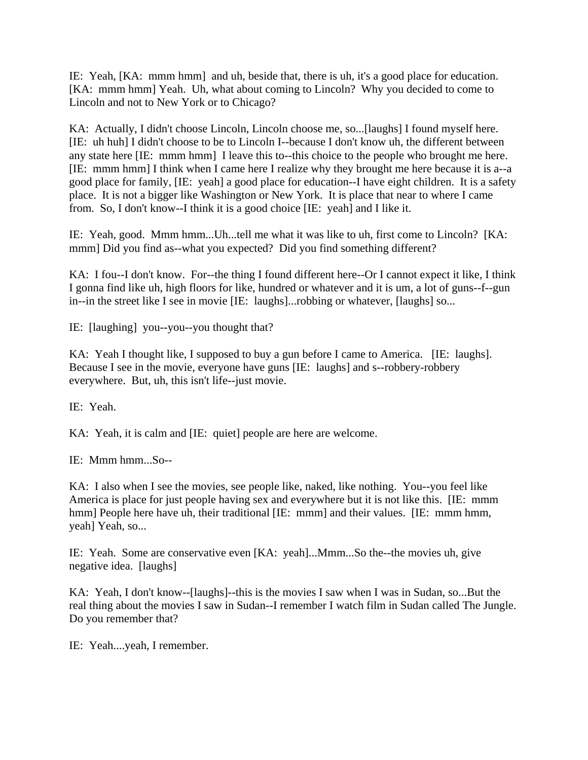IE: Yeah, [KA: mmm hmm] and uh, beside that, there is uh, it's a good place for education. [KA: mmm hmm] Yeah. Uh, what about coming to Lincoln? Why you decided to come to Lincoln and not to New York or to Chicago?

KA: Actually, I didn't choose Lincoln, Lincoln choose me, so...[laughs] I found myself here. [IE: uh huh] I didn't choose to be to Lincoln I--because I don't know uh, the different between any state here [IE: mmm hmm] I leave this to--this choice to the people who brought me here. [IE: mmm hmm] I think when I came here I realize why they brought me here because it is a--a good place for family, [IE: yeah] a good place for education--I have eight children. It is a safety place. It is not a bigger like Washington or New York. It is place that near to where I came from. So, I don't know--I think it is a good choice [IE: yeah] and I like it.

IE: Yeah, good. Mmm hmm...Uh...tell me what it was like to uh, first come to Lincoln? [KA: mmm] Did you find as--what you expected? Did you find something different?

KA: I fou--I don't know. For--the thing I found different here--Or I cannot expect it like, I think I gonna find like uh, high floors for like, hundred or whatever and it is um, a lot of guns--f--gun in--in the street like I see in movie [IE: laughs]...robbing or whatever, [laughs] so...

IE: [laughing] you--you--you thought that?

KA: Yeah I thought like, I supposed to buy a gun before I came to America. [IE: laughs]. Because I see in the movie, everyone have guns [IE: laughs] and s--robbery-robbery everywhere. But, uh, this isn't life--just movie.

IE: Yeah.

KA: Yeah, it is calm and [IE: quiet] people are here are welcome.

IE: Mmm hmm...So--

KA: I also when I see the movies, see people like, naked, like nothing. You--you feel like America is place for just people having sex and everywhere but it is not like this. [IE: mmm hmm] People here have uh, their traditional [IE: mmm] and their values. [IE: mmm hmm, yeah] Yeah, so...

IE: Yeah. Some are conservative even [KA: yeah]...Mmm...So the--the movies uh, give negative idea. [laughs]

KA: Yeah, I don't know--[laughs]--this is the movies I saw when I was in Sudan, so...But the real thing about the movies I saw in Sudan--I remember I watch film in Sudan called The Jungle. Do you remember that?

IE: Yeah....yeah, I remember.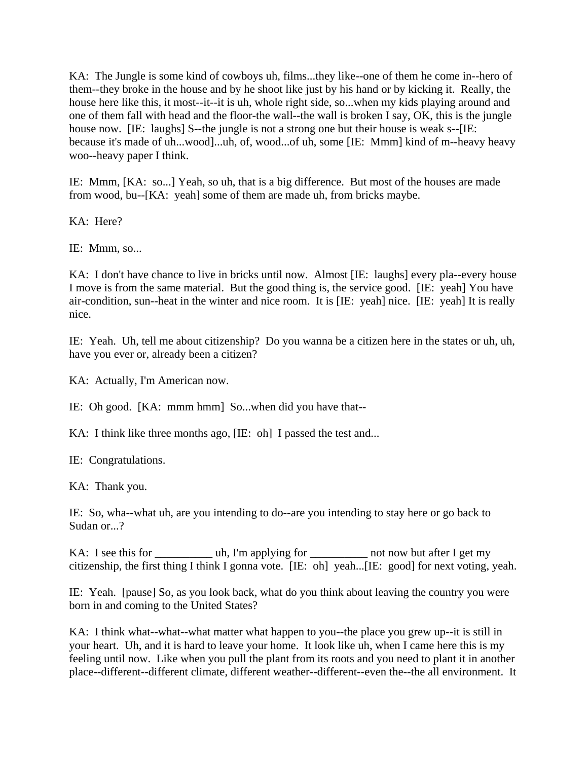KA: The Jungle is some kind of cowboys uh, films...they like--one of them he come in--hero of them--they broke in the house and by he shoot like just by his hand or by kicking it. Really, the house here like this, it most--it--it is uh, whole right side, so...when my kids playing around and one of them fall with head and the floor-the wall--the wall is broken I say, OK, this is the jungle house now. [IE: laughs] S--the jungle is not a strong one but their house is weak s--[IE: because it's made of uh...wood]...uh, of, wood...of uh, some [IE: Mmm] kind of m--heavy heavy woo--heavy paper I think.

IE: Mmm, [KA: so...] Yeah, so uh, that is a big difference. But most of the houses are made from wood, bu--[KA: yeah] some of them are made uh, from bricks maybe.

KA: Here?

IE: Mmm, so...

KA: I don't have chance to live in bricks until now. Almost [IE: laughs] every pla--every house I move is from the same material. But the good thing is, the service good. [IE: yeah] You have air-condition, sun--heat in the winter and nice room. It is [IE: yeah] nice. [IE: yeah] It is really nice.

IE: Yeah. Uh, tell me about citizenship? Do you wanna be a citizen here in the states or uh, uh, have you ever or, already been a citizen?

KA: Actually, I'm American now.

IE: Oh good. [KA: mmm hmm] So...when did you have that--

KA: I think like three months ago, [IE: oh] I passed the test and...

IE: Congratulations.

KA: Thank you.

IE: So, wha--what uh, are you intending to do--are you intending to stay here or go back to Sudan or...?

KA: I see this for \_\_\_\_\_\_\_\_\_\_\_ uh, I'm applying for \_\_\_\_\_\_\_\_\_\_\_ not now but after I get my citizenship, the first thing I think I gonna vote. [IE: oh] yeah...[IE: good] for next voting, yeah.

IE: Yeah. [pause] So, as you look back, what do you think about leaving the country you were born in and coming to the United States?

KA: I think what--what--what matter what happen to you--the place you grew up--it is still in your heart. Uh, and it is hard to leave your home. It look like uh, when I came here this is my feeling until now. Like when you pull the plant from its roots and you need to plant it in another place--different--different climate, different weather--different--even the--the all environment. It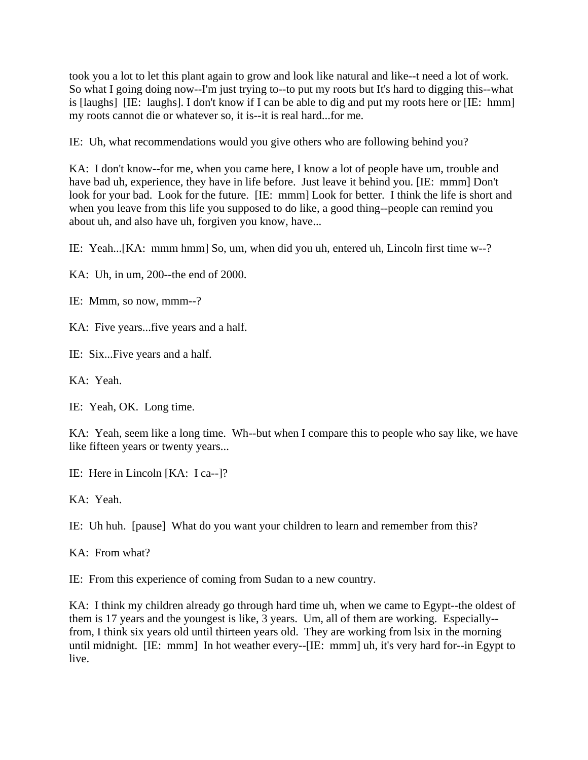took you a lot to let this plant again to grow and look like natural and like--t need a lot of work. So what I going doing now--I'm just trying to--to put my roots but It's hard to digging this--what is [laughs] [IE: laughs]. I don't know if I can be able to dig and put my roots here or [IE: hmm] my roots cannot die or whatever so, it is--it is real hard...for me.

IE: Uh, what recommendations would you give others who are following behind you?

KA: I don't know--for me, when you came here, I know a lot of people have um, trouble and have bad uh, experience, they have in life before. Just leave it behind you. [IE: mmm] Don't look for your bad. Look for the future. [IE: mmm] Look for better. I think the life is short and when you leave from this life you supposed to do like, a good thing--people can remind you about uh, and also have uh, forgiven you know, have...

IE: Yeah...[KA: mmm hmm] So, um, when did you uh, entered uh, Lincoln first time w--?

KA: Uh, in um, 200--the end of 2000.

IE: Mmm, so now, mmm--?

KA: Five years...five years and a half.

IE: Six...Five years and a half.

KA: Yeah.

IE: Yeah, OK. Long time.

KA: Yeah, seem like a long time. Wh--but when I compare this to people who say like, we have like fifteen years or twenty years...

IE: Here in Lincoln [KA: I ca--]?

KA: Yeah.

IE: Uh huh. [pause] What do you want your children to learn and remember from this?

KA: From what?

IE: From this experience of coming from Sudan to a new country.

KA: I think my children already go through hard time uh, when we came to Egypt--the oldest of them is 17 years and the youngest is like, 3 years. Um, all of them are working. Especially- from, I think six years old until thirteen years old. They are working from lsix in the morning until midnight. [IE: mmm] In hot weather every--[IE: mmm] uh, it's very hard for--in Egypt to live.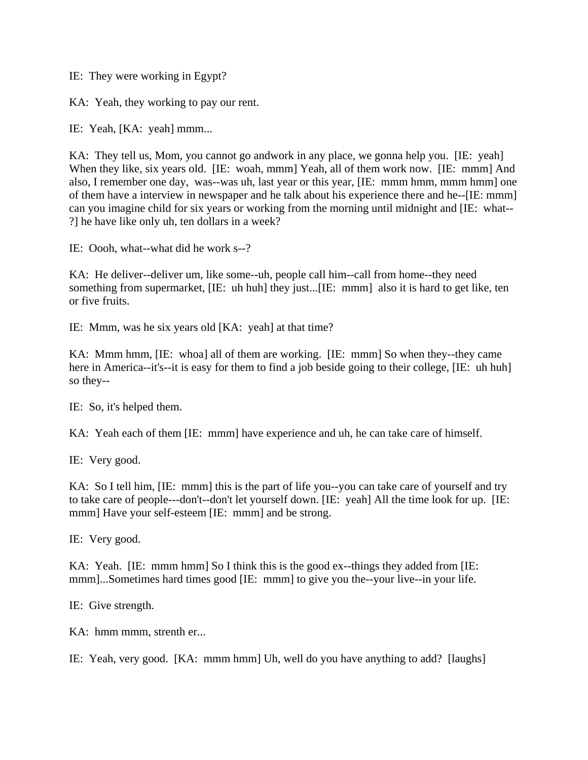IE: They were working in Egypt?

KA: Yeah, they working to pay our rent.

IE: Yeah, [KA: yeah] mmm...

KA: They tell us, Mom, you cannot go andwork in any place, we gonna help you. [IE: yeah] When they like, six years old. [IE: woah, mmm] Yeah, all of them work now. [IE: mmm] And also, I remember one day, was--was uh, last year or this year, [IE: mmm hmm, mmm hmm] one of them have a interview in newspaper and he talk about his experience there and he--[IE: mmm] can you imagine child for six years or working from the morning until midnight and [IE: what-- ?] he have like only uh, ten dollars in a week?

IE: Oooh, what--what did he work s--?

KA: He deliver--deliver um, like some--uh, people call him--call from home--they need something from supermarket, [IE: uh huh] they just...[IE: mmm] also it is hard to get like, ten or five fruits.

IE: Mmm, was he six years old [KA: yeah] at that time?

KA: Mmm hmm, [IE: whoa] all of them are working. [IE: mmm] So when they--they came here in America--it's--it is easy for them to find a job beside going to their college, [IE: uh huh] so they--

IE: So, it's helped them.

KA: Yeah each of them [IE: mmm] have experience and uh, he can take care of himself.

IE: Very good.

KA: So I tell him, [IE: mmm] this is the part of life you--you can take care of yourself and try to take care of people---don't--don't let yourself down. [IE: yeah] All the time look for up. [IE: mmm] Have your self-esteem [IE: mmm] and be strong.

IE: Very good.

KA: Yeah. [IE: mmm hmm] So I think this is the good ex--things they added from [IE: mmm]...Sometimes hard times good [IE: mmm] to give you the--your live--in your life.

IE: Give strength.

KA: hmm mmm, strenth er...

IE: Yeah, very good. [KA: mmm hmm] Uh, well do you have anything to add? [laughs]